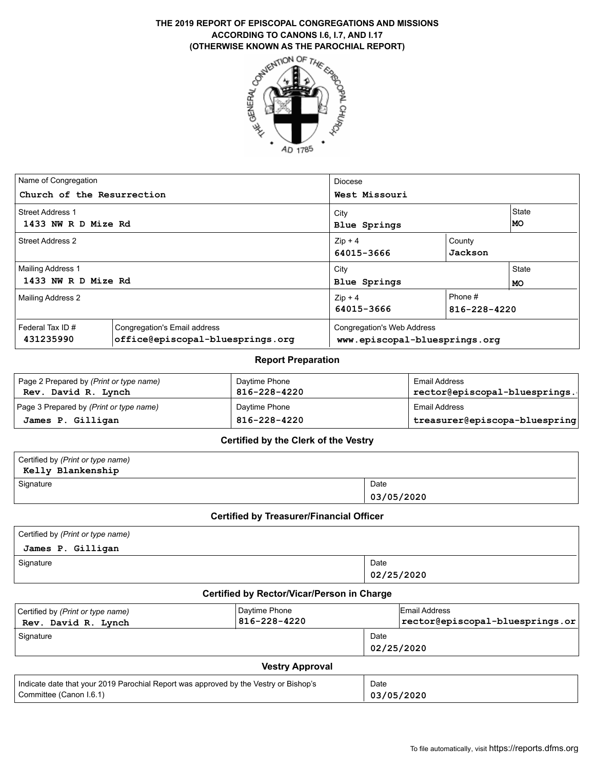# **ACCORDING TO CANONS I.6, I.7, AND I.17 (OTHERWISE KNOWN AS THE PAROCHIAL REPORT)**



| Name of Congregation<br>Church of the Resurrection |                                                                  | <b>Diocese</b><br>West Missouri                             |                         |                    |  |
|----------------------------------------------------|------------------------------------------------------------------|-------------------------------------------------------------|-------------------------|--------------------|--|
| <b>Street Address 1</b><br>1433 NW R D Mize Rd     |                                                                  | City<br>Blue Springs                                        | <b>State</b><br>MO      |                    |  |
| <b>Street Address 2</b>                            |                                                                  | County<br>$Zip + 4$<br>Jackson<br>64015-3666                |                         |                    |  |
| <b>Mailing Address 1</b><br>1433 NW R D Mize Rd    |                                                                  | City<br>Blue Springs                                        |                         | State<br><b>MO</b> |  |
| Mailing Address 2                                  |                                                                  | $Zip + 4$<br>64015-3666                                     | Phone #<br>816-228-4220 |                    |  |
| Federal Tax ID#<br>431235990                       | Congregation's Email address<br>office@episcopal-bluesprings.org | Congregation's Web Address<br>www.episcopal-bluesprings.org |                         |                    |  |

#### **Report Preparation**

| Page 2 Prepared by (Print or type name)<br>Rev. David R. Lynch | Daytime Phone<br>816-228-4220 | Email Address<br>rector@episcopal-bluesprings. |
|----------------------------------------------------------------|-------------------------------|------------------------------------------------|
| Page 3 Prepared by (Print or type name)                        | Davtime Phone                 | Email Address                                  |
| James P. Gilligan                                              | 816-228-4220                  | treasurer@episcopa-bluespring                  |

#### **Certified by the Clerk of the Vestry**

| Certified by (Print or type name)<br>Kelly Blankenship Kelly |            |
|--------------------------------------------------------------|------------|
| Signature                                                    | Date       |
|                                                              | 03/05/2020 |

#### **Certified by Treasurer/Financial Officer**

| Certified by (Print or type name) |            |
|-----------------------------------|------------|
| James P. Gilligan                 |            |
| Signature                         | Date       |
|                                   | 02/25/2020 |

### **Certified by Rector/Vicar/Person in Charge**

| Certified by (Print or type name)<br>Rev. David R. Lynch | Daytime Phone<br>816-228-4220 |                    | Email Address<br>$ {\tt rector}$ @episcopal-bluesprings.or $ $ |  |  |
|----------------------------------------------------------|-------------------------------|--------------------|----------------------------------------------------------------|--|--|
| Signature                                                |                               | Date<br>02/25/2020 |                                                                |  |  |
| <b>Vestry Approval</b>                                   |                               |                    |                                                                |  |  |

| Indicate date that your 2019 Parochial Report was approved by the Vestry or Bishop's | Date       |
|--------------------------------------------------------------------------------------|------------|
| Committee (Canon I.6.1)                                                              | 03/05/2020 |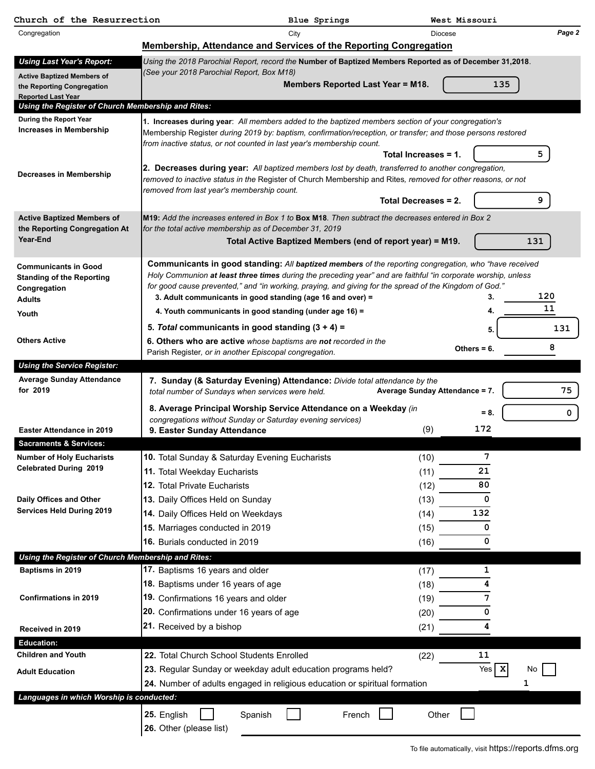| Church of the Resurrection                                                                       |                                                                                                                                                                                                                                                                                                                                                                                                | Blue Springs                                              |                                | West Missouri    |             |
|--------------------------------------------------------------------------------------------------|------------------------------------------------------------------------------------------------------------------------------------------------------------------------------------------------------------------------------------------------------------------------------------------------------------------------------------------------------------------------------------------------|-----------------------------------------------------------|--------------------------------|------------------|-------------|
| Congregation                                                                                     |                                                                                                                                                                                                                                                                                                                                                                                                | City                                                      | <b>Diocese</b>                 |                  | Page 2      |
|                                                                                                  | Membership, Attendance and Services of the Reporting Congregation                                                                                                                                                                                                                                                                                                                              |                                                           |                                |                  |             |
| <b>Using Last Year's Report:</b><br><b>Active Baptized Members of</b>                            | Using the 2018 Parochial Report, record the Number of Baptized Members Reported as of December 31,2018.<br>(See your 2018 Parochial Report, Box M18)                                                                                                                                                                                                                                           |                                                           |                                |                  |             |
| the Reporting Congregation<br><b>Reported Last Year</b>                                          |                                                                                                                                                                                                                                                                                                                                                                                                | Members Reported Last Year = M18.                         |                                | 135              |             |
| Using the Register of Church Membership and Rites:                                               |                                                                                                                                                                                                                                                                                                                                                                                                |                                                           |                                |                  |             |
| During the Report Year                                                                           | 1. Increases during year: All members added to the baptized members section of your congregation's                                                                                                                                                                                                                                                                                             |                                                           |                                |                  |             |
| <b>Increases in Membership</b>                                                                   | Membership Register during 2019 by: baptism, confirmation/reception, or transfer; and those persons restored<br>from inactive status, or not counted in last year's membership count.                                                                                                                                                                                                          |                                                           |                                |                  |             |
|                                                                                                  |                                                                                                                                                                                                                                                                                                                                                                                                |                                                           | Total Increases = 1.           |                  | 5           |
| Decreases in Membership                                                                          | 2. Decreases during year: All baptized members lost by death, transferred to another congregation,<br>removed to inactive status in the Register of Church Membership and Rites, removed for other reasons, or not<br>removed from last year's membership count.                                                                                                                               |                                                           |                                |                  |             |
|                                                                                                  |                                                                                                                                                                                                                                                                                                                                                                                                |                                                           | Total Decreases = 2.           |                  | 9           |
| <b>Active Baptized Members of</b>                                                                | M19: Add the increases entered in Box 1 to Box M18. Then subtract the decreases entered in Box 2<br>for the total active membership as of December 31, 2019                                                                                                                                                                                                                                    |                                                           |                                |                  |             |
| the Reporting Congregation At<br>Year-End                                                        |                                                                                                                                                                                                                                                                                                                                                                                                | Total Active Baptized Members (end of report year) = M19. |                                |                  | 131         |
| <b>Communicants in Good</b><br><b>Standing of the Reporting</b><br>Congregation<br><b>Adults</b> | Communicants in good standing: All baptized members of the reporting congregation, who "have received<br>Holy Communion at least three times during the preceding year" and are faithful "in corporate worship, unless<br>for good cause prevented," and "in working, praying, and giving for the spread of the Kingdom of God."<br>3. Adult communicants in good standing (age 16 and over) = |                                                           |                                |                  | 120         |
| Youth                                                                                            | 4. Youth communicants in good standing (under age 16) =                                                                                                                                                                                                                                                                                                                                        |                                                           |                                | 4.               | 11          |
|                                                                                                  | 5. Total communicants in good standing $(3 + 4) =$                                                                                                                                                                                                                                                                                                                                             |                                                           |                                | 5.               | 131         |
| <b>Others Active</b>                                                                             | 6. Others who are active whose baptisms are not recorded in the<br>Parish Register, or in another Episcopal congregation.                                                                                                                                                                                                                                                                      |                                                           |                                | Others $= 6$ .   | 8           |
| <b>Using the Service Register:</b>                                                               |                                                                                                                                                                                                                                                                                                                                                                                                |                                                           |                                |                  |             |
| <b>Average Sunday Attendance</b><br>for 2019                                                     | 7. Sunday (& Saturday Evening) Attendance: Divide total attendance by the<br>total number of Sundays when services were held.                                                                                                                                                                                                                                                                  |                                                           | Average Sunday Attendance = 7. |                  | 75          |
|                                                                                                  | 8. Average Principal Worship Service Attendance on a Weekday (in                                                                                                                                                                                                                                                                                                                               |                                                           |                                | $= 8.$           | $\mathbf 0$ |
| Easter Attendance in 2019                                                                        | congregations without Sunday or Saturday evening services)<br>9. Easter Sunday Attendance                                                                                                                                                                                                                                                                                                      |                                                           | (9)                            | 172              |             |
| <b>Sacraments &amp; Services:</b>                                                                |                                                                                                                                                                                                                                                                                                                                                                                                |                                                           |                                |                  |             |
| <b>Number of Holy Eucharists</b><br><b>Celebrated During 2019</b>                                | 10. Total Sunday & Saturday Evening Eucharists                                                                                                                                                                                                                                                                                                                                                 |                                                           | (10)                           | 7                |             |
|                                                                                                  | 11. Total Weekday Eucharists                                                                                                                                                                                                                                                                                                                                                                   |                                                           | (11)                           | 21               |             |
|                                                                                                  | 12. Total Private Eucharists                                                                                                                                                                                                                                                                                                                                                                   |                                                           | (12)                           | 80               |             |
| Daily Offices and Other<br><b>Services Held During 2019</b>                                      | 13. Daily Offices Held on Sunday                                                                                                                                                                                                                                                                                                                                                               |                                                           | (13)                           | 0                |             |
|                                                                                                  | 14. Daily Offices Held on Weekdays                                                                                                                                                                                                                                                                                                                                                             |                                                           | (14)                           | 132              |             |
|                                                                                                  | 15. Marriages conducted in 2019                                                                                                                                                                                                                                                                                                                                                                |                                                           | (15)                           | 0                |             |
|                                                                                                  | 16. Burials conducted in 2019                                                                                                                                                                                                                                                                                                                                                                  |                                                           | (16)                           | 0                |             |
| Using the Register of Church Membership and Rites:                                               |                                                                                                                                                                                                                                                                                                                                                                                                |                                                           |                                |                  |             |
| Baptisms in 2019                                                                                 | 17. Baptisms 16 years and older                                                                                                                                                                                                                                                                                                                                                                |                                                           | (17)                           | 1                |             |
|                                                                                                  | 18. Baptisms under 16 years of age                                                                                                                                                                                                                                                                                                                                                             |                                                           | (18)                           | 4                |             |
| <b>Confirmations in 2019</b>                                                                     | 19. Confirmations 16 years and older                                                                                                                                                                                                                                                                                                                                                           |                                                           | (19)                           | 7                |             |
|                                                                                                  | 20. Confirmations under 16 years of age                                                                                                                                                                                                                                                                                                                                                        |                                                           | (20)                           | 0                |             |
| Received in 2019<br><b>Education:</b>                                                            | 21. Received by a bishop                                                                                                                                                                                                                                                                                                                                                                       |                                                           | (21)                           | 4                |             |
| <b>Children and Youth</b>                                                                        | 22. Total Church School Students Enrolled                                                                                                                                                                                                                                                                                                                                                      |                                                           | (22)                           | 11               |             |
|                                                                                                  | 23. Regular Sunday or weekday adult education programs held?                                                                                                                                                                                                                                                                                                                                   |                                                           |                                | Yes $\mathbf{x}$ | No          |
| <b>Adult Education</b>                                                                           | 24. Number of adults engaged in religious education or spiritual formation                                                                                                                                                                                                                                                                                                                     |                                                           |                                |                  | 1           |
| Languages in which Worship is conducted:                                                         |                                                                                                                                                                                                                                                                                                                                                                                                |                                                           |                                |                  |             |
|                                                                                                  | 25. English<br>Spanish<br>26. Other (please list)                                                                                                                                                                                                                                                                                                                                              | French                                                    | Other                          |                  |             |
|                                                                                                  |                                                                                                                                                                                                                                                                                                                                                                                                |                                                           |                                |                  |             |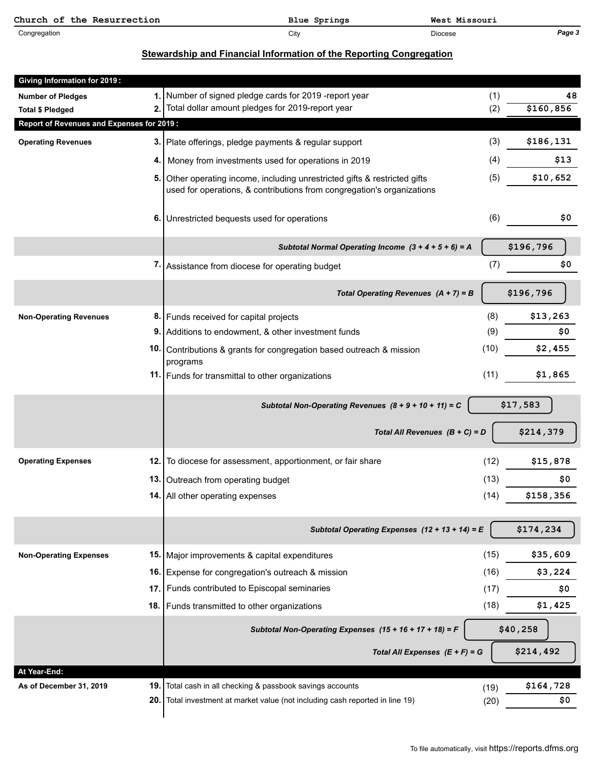| Church of the Resurrection | Blue Springs | West Missouri  |        |
|----------------------------|--------------|----------------|--------|
| Congregation               | City         | <b>Diocese</b> | Page 3 |

# **Stewardship and Financial Information of the Reporting Congregation**

| <b>Giving Information for 2019:</b>       |            |                                                                                                                                                   |      |                  |    |
|-------------------------------------------|------------|---------------------------------------------------------------------------------------------------------------------------------------------------|------|------------------|----|
| <b>Number of Pledges</b>                  | 1.         | Number of signed pledge cards for 2019 -report year                                                                                               | (1)  |                  | 48 |
| <b>Total \$ Pledged</b>                   | 2.         | Total dollar amount pledges for 2019-report year                                                                                                  | (2)  | \$160,856        |    |
| Report of Revenues and Expenses for 2019: |            |                                                                                                                                                   |      |                  |    |
| <b>Operating Revenues</b>                 | 3.         | Plate offerings, pledge payments & regular support                                                                                                | (3)  | \$186,131        |    |
|                                           | 4.         | Money from investments used for operations in 2019                                                                                                | (4)  | \$13             |    |
|                                           | 5.         | Other operating income, including unrestricted gifts & restricted gifts<br>used for operations, & contributions from congregation's organizations | (5)  | \$10,652         |    |
|                                           | 6.         | Unrestricted bequests used for operations                                                                                                         | (6)  | \$0              |    |
|                                           |            | Subtotal Normal Operating Income $(3 + 4 + 5 + 6) = A$                                                                                            |      | \$196,796        |    |
|                                           |            | 7. Assistance from diocese for operating budget                                                                                                   | (7)  | \$0              |    |
|                                           |            | Total Operating Revenues $(A + 7) = B$                                                                                                            |      | \$196,796        |    |
| <b>Non-Operating Revenues</b>             |            | 8. Funds received for capital projects                                                                                                            | (8)  | \$13,263         |    |
|                                           | 9.         | Additions to endowment, & other investment funds                                                                                                  | (9)  | \$0              |    |
|                                           | 10.        | Contributions & grants for congregation based outreach & mission<br>programs                                                                      | (10) | \$2,455          |    |
|                                           |            | 11. Funds for transmittal to other organizations                                                                                                  | (11) | \$1,865          |    |
|                                           |            | Subtotal Non-Operating Revenues $(8 + 9 + 10 + 11) = C$                                                                                           |      | \$17,583         |    |
|                                           |            |                                                                                                                                                   |      |                  |    |
|                                           |            | Total All Revenues $(B + C) = D$                                                                                                                  |      | \$214,379        |    |
| <b>Operating Expenses</b>                 | 12.1       | To diocese for assessment, apportionment, or fair share                                                                                           | (12) | \$15,878         |    |
|                                           | 13.        | Outreach from operating budget                                                                                                                    | (13) | \$0              |    |
|                                           |            | 14. All other operating expenses                                                                                                                  | (14) | \$158,356        |    |
|                                           |            | Subtotal Operating Expenses $(12 + 13 + 14) = E$                                                                                                  |      | \$174,234        |    |
| <b>Non-Operating Expenses</b>             | 15.        | Major improvements & capital expenditures                                                                                                         | (15) | \$35,609         |    |
|                                           | 16.        | Expense for congregation's outreach & mission                                                                                                     | (16) | \$3,224          |    |
|                                           | 17.        | Funds contributed to Episcopal seminaries                                                                                                         | (17) | \$0              |    |
|                                           | 18.        | Funds transmitted to other organizations                                                                                                          | (18) | \$1,425          |    |
|                                           |            | Subtotal Non-Operating Expenses (15 + 16 + 17 + 18) = F                                                                                           |      | \$40,258         |    |
|                                           |            | Total All Expenses $(E + F) = G$                                                                                                                  |      | \$214,492        |    |
| At Year-End:                              |            |                                                                                                                                                   |      |                  |    |
| As of December 31, 2019                   | 19.<br>20. | Total cash in all checking & passbook savings accounts<br>Total investment at market value (not including cash reported in line 19)               | (19) | \$164,728<br>\$0 |    |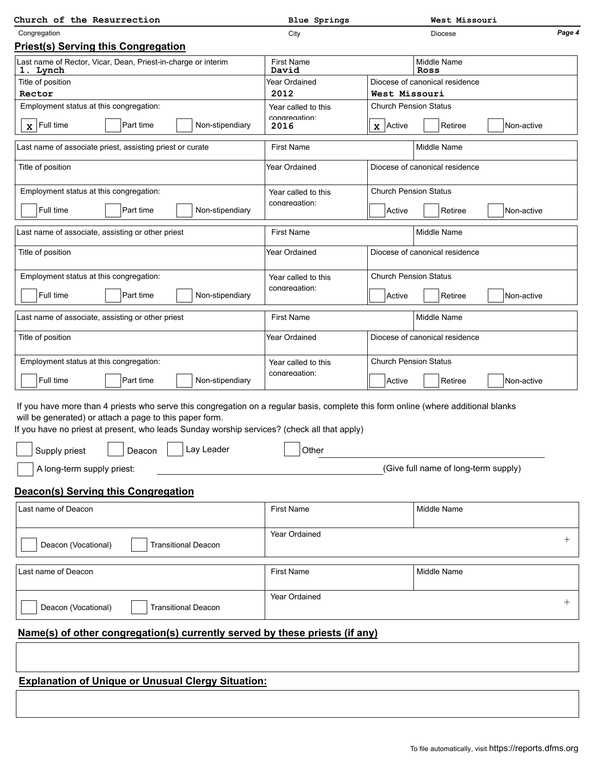| Church of the Resurrection                                                                                                                                                                                                                                                                                                            | West Missouri<br><b>Blue Springs</b> |                                |                                      |            |                    |
|---------------------------------------------------------------------------------------------------------------------------------------------------------------------------------------------------------------------------------------------------------------------------------------------------------------------------------------|--------------------------------------|--------------------------------|--------------------------------------|------------|--------------------|
| Congregation                                                                                                                                                                                                                                                                                                                          | City                                 |                                | <b>Diocese</b>                       |            | Page 4             |
| <b>Priest(s) Serving this Congregation</b>                                                                                                                                                                                                                                                                                            |                                      |                                |                                      |            |                    |
| Last name of Rector, Vicar, Dean, Priest-in-charge or interim<br>1. Lynch                                                                                                                                                                                                                                                             | <b>First Name</b><br>David           |                                | Middle Name<br>Ross                  |            |                    |
| Title of position                                                                                                                                                                                                                                                                                                                     | Year Ordained                        | Diocese of canonical residence |                                      |            |                    |
| Rector                                                                                                                                                                                                                                                                                                                                | 2012                                 | West Missouri                  |                                      |            |                    |
| Employment status at this congregation:                                                                                                                                                                                                                                                                                               | Year called to this<br>congregation: | <b>Church Pension Status</b>   |                                      |            |                    |
| Part time<br>Non-stipendiary<br>$\mathbf{x}$ Full time                                                                                                                                                                                                                                                                                | 2016                                 | $\mathbf{x}$ Active            | Retiree                              | Non-active |                    |
| Last name of associate priest, assisting priest or curate                                                                                                                                                                                                                                                                             | <b>First Name</b>                    |                                | <b>Middle Name</b>                   |            |                    |
| Title of position                                                                                                                                                                                                                                                                                                                     | Year Ordained                        |                                | Diocese of canonical residence       |            |                    |
| Employment status at this congregation:                                                                                                                                                                                                                                                                                               | Year called to this                  | <b>Church Pension Status</b>   |                                      |            |                    |
| Full time<br>Part time<br>Non-stipendiary                                                                                                                                                                                                                                                                                             | congregation:                        | Active                         | Retiree                              | Non-active |                    |
|                                                                                                                                                                                                                                                                                                                                       |                                      |                                |                                      |            |                    |
| Last name of associate, assisting or other priest                                                                                                                                                                                                                                                                                     | <b>First Name</b>                    |                                | Middle Name                          |            |                    |
| Title of position                                                                                                                                                                                                                                                                                                                     | Year Ordained                        |                                | Diocese of canonical residence       |            |                    |
| Employment status at this congregation:                                                                                                                                                                                                                                                                                               | Year called to this                  | <b>Church Pension Status</b>   |                                      |            |                    |
| Full time<br>Part time<br>Non-stipendiary                                                                                                                                                                                                                                                                                             | congregation:                        | Active                         | Retiree                              | Non-active |                    |
| Last name of associate, assisting or other priest                                                                                                                                                                                                                                                                                     | <b>First Name</b>                    |                                | <b>Middle Name</b>                   |            |                    |
| Title of position                                                                                                                                                                                                                                                                                                                     | Year Ordained                        |                                | Diocese of canonical residence       |            |                    |
| Employment status at this congregation:                                                                                                                                                                                                                                                                                               | Year called to this                  | <b>Church Pension Status</b>   |                                      |            |                    |
|                                                                                                                                                                                                                                                                                                                                       | congregation:                        |                                |                                      |            |                    |
| Full time<br>Part time<br>Non-stipendiary                                                                                                                                                                                                                                                                                             |                                      | Active                         | Retiree                              | Non-active |                    |
| If you have more than 4 priests who serve this congregation on a regular basis, complete this form online (where additional blanks<br>will be generated) or attach a page to this paper form.<br>If you have no priest at present, who leads Sunday worship services? (check all that apply)<br>Lay Leader<br>Supply priest<br>Deacon | Other                                |                                |                                      |            |                    |
| A long-term supply priest:                                                                                                                                                                                                                                                                                                            |                                      |                                | (Give full name of long-term supply) |            |                    |
| Deacon(s) Serving this Congregation                                                                                                                                                                                                                                                                                                   |                                      |                                |                                      |            |                    |
| Last name of Deacon                                                                                                                                                                                                                                                                                                                   | <b>First Name</b>                    |                                | <b>Middle Name</b>                   |            |                    |
| Deacon (Vocational)<br><b>Transitional Deacon</b>                                                                                                                                                                                                                                                                                     | Year Ordained                        |                                |                                      |            | $^{+}$             |
| Last name of Deacon                                                                                                                                                                                                                                                                                                                   | <b>First Name</b>                    |                                | <b>Middle Name</b>                   |            |                    |
| Deacon (Vocational)<br><b>Transitional Deacon</b>                                                                                                                                                                                                                                                                                     | Year Ordained                        |                                |                                      |            | $\hspace{0.1mm} +$ |
| Name(s) of other congregation(s) currently served by these priests (if any)                                                                                                                                                                                                                                                           |                                      |                                |                                      |            |                    |
|                                                                                                                                                                                                                                                                                                                                       |                                      |                                |                                      |            |                    |
| <b>Explanation of Unique or Unusual Clergy Situation:</b>                                                                                                                                                                                                                                                                             |                                      |                                |                                      |            |                    |
|                                                                                                                                                                                                                                                                                                                                       |                                      |                                |                                      |            |                    |
|                                                                                                                                                                                                                                                                                                                                       |                                      |                                |                                      |            |                    |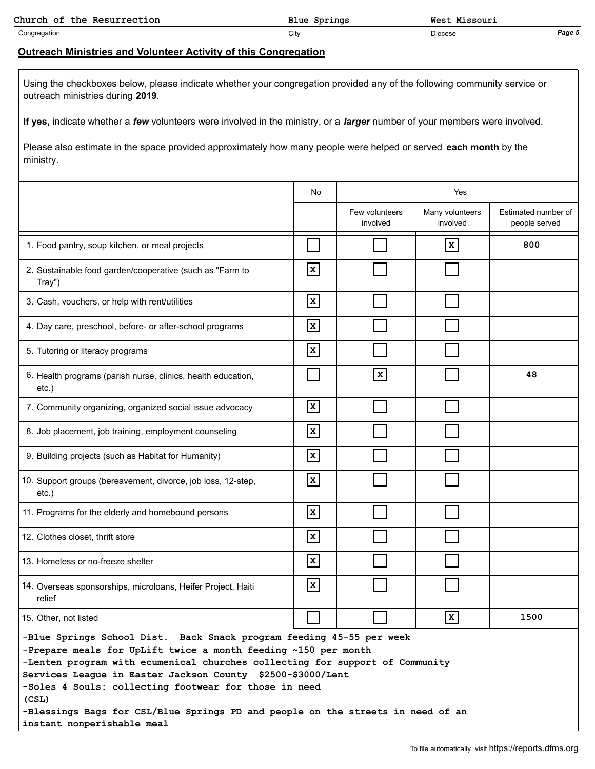| Church of the Resurrection | Blue Springs | West Missouri |        |
|----------------------------|--------------|---------------|--------|
| Congregation               | City         | Diocese       | Page 5 |

## **Outreach Ministries and Volunteer Activity of this Congregation**

Using the checkboxes below, please indicate whether your congregation provided any of the following community service or outreach ministries during **2019**.

**If yes,** indicate whether a *few* volunteers were involved in the ministry, or a *larger* number of your members were involved.

Please also estimate in the space provided approximately how many people were helped or served **each month** by the ministry.

|                                                                                                                                                                                                                                                                                                                                                                                                                                                                          | No           | Yes                        |                             |                                      |  |
|--------------------------------------------------------------------------------------------------------------------------------------------------------------------------------------------------------------------------------------------------------------------------------------------------------------------------------------------------------------------------------------------------------------------------------------------------------------------------|--------------|----------------------------|-----------------------------|--------------------------------------|--|
|                                                                                                                                                                                                                                                                                                                                                                                                                                                                          |              | Few volunteers<br>involved | Many volunteers<br>involved | Estimated number of<br>people served |  |
| 1. Food pantry, soup kitchen, or meal projects                                                                                                                                                                                                                                                                                                                                                                                                                           |              |                            | $\mathbf{x}$                | 800                                  |  |
| 2. Sustainable food garden/cooperative (such as "Farm to<br>Tray")                                                                                                                                                                                                                                                                                                                                                                                                       | $\mathbf x$  |                            |                             |                                      |  |
| 3. Cash, vouchers, or help with rent/utilities                                                                                                                                                                                                                                                                                                                                                                                                                           | $\mathbf{x}$ |                            |                             |                                      |  |
| 4. Day care, preschool, before- or after-school programs                                                                                                                                                                                                                                                                                                                                                                                                                 | $\mathbf x$  |                            |                             |                                      |  |
| 5. Tutoring or literacy programs                                                                                                                                                                                                                                                                                                                                                                                                                                         | $\mathbf x$  |                            |                             |                                      |  |
| 6. Health programs (parish nurse, clinics, health education,<br>etc.)                                                                                                                                                                                                                                                                                                                                                                                                    |              | $\mathbf{x}$               |                             | 48                                   |  |
| 7. Community organizing, organized social issue advocacy                                                                                                                                                                                                                                                                                                                                                                                                                 | $\mathbf x$  |                            |                             |                                      |  |
| 8. Job placement, job training, employment counseling                                                                                                                                                                                                                                                                                                                                                                                                                    | $\mathbf{x}$ |                            |                             |                                      |  |
| 9. Building projects (such as Habitat for Humanity)                                                                                                                                                                                                                                                                                                                                                                                                                      | $\mathbf x$  |                            |                             |                                      |  |
| 10. Support groups (bereavement, divorce, job loss, 12-step,<br>$etc.$ )                                                                                                                                                                                                                                                                                                                                                                                                 | $\mathbf x$  |                            |                             |                                      |  |
| 11. Programs for the elderly and homebound persons                                                                                                                                                                                                                                                                                                                                                                                                                       | $\mathbf x$  |                            |                             |                                      |  |
| 12. Clothes closet, thrift store                                                                                                                                                                                                                                                                                                                                                                                                                                         | $\mathbf x$  |                            |                             |                                      |  |
| 13. Homeless or no-freeze shelter                                                                                                                                                                                                                                                                                                                                                                                                                                        | $\mathbf{x}$ |                            |                             |                                      |  |
| 14. Overseas sponsorships, microloans, Heifer Project, Haiti<br>relief                                                                                                                                                                                                                                                                                                                                                                                                   | $\mathbf{x}$ |                            |                             |                                      |  |
| 15. Other, not listed                                                                                                                                                                                                                                                                                                                                                                                                                                                    |              |                            | $\boxed{\mathbf{x}}$        | 1500                                 |  |
| -Blue Springs School Dist. Back Snack program feeding 45-55 per week<br>-Prepare meals for UpLift twice a month feeding ~150 per month<br>-Lenten program with ecumenical churches collecting for support of Community<br>Services League in Easter Jackson County \$2500-\$3000/Lent<br>-Soles 4 Souls: collecting footwear for those in need<br>(CSL)<br>-Blessings Bags for CSL/Blue Springs PD and people on the streets in need of an<br>instant nonperishable meal |              |                            |                             |                                      |  |